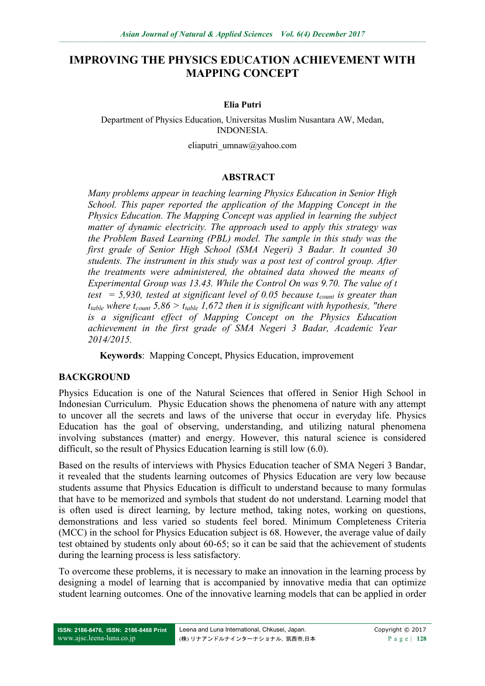# **IMPROVING THE PHYSICS EDUCATION ACHIEVEMENT WITH MAPPING CONCEPT**

### **Elia Putri**

Department of Physics Education, Universitas Muslim Nusantara AW, Medan, INDONESIA.

eliaputri umnaw@yahoo.com

## **ABSTRACT**

*Many problems appear in teaching learning Physics Education in Senior High School. This paper reported the application of the Mapping Concept in the Physics Education. The Mapping Concept was applied in learning the subject matter of dynamic electricity. The approach used to apply this strategy was the Problem Based Learning (PBL) model. The sample in this study was the first grade of Senior High School (SMA Negeri) 3 Badar. It counted 30 students. The instrument in this study was a post test of control group. After the treatments were administered, the obtained data showed the means of Experimental Group was 13.43. While the Control On was 9.70. The value of t test = 5,930, tested at significant level of 0.05 because tcount is greater than ttable where tcount 5,86 > ttable 1,672 then it is significant with hypothesis, "there is a significant effect of Mapping Concept on the Physics Education achievement in the first grade of SMA Negeri 3 Badar, Academic Year 2014/2015.*

**Keywords**: Mapping Concept, Physics Education, improvement

## **BACKGROUND**

Physics Education is one of the Natural Sciences that offered in Senior High School in Indonesian Curriculum. Physic Education shows the phenomena of nature with any attempt to uncover all the secrets and laws of the universe that occur in everyday life. Physics Education has the goal of observing, understanding, and utilizing natural phenomena involving substances (matter) and energy. However, this natural science is considered difficult, so the result of Physics Education learning is still low (6.0).

Based on the results of interviews with Physics Education teacher of SMA Negeri 3 Bandar, it revealed that the students learning outcomes of Physics Education are very low because students assume that Physics Education is difficult to understand because to many formulas that have to be memorized and symbols that student do not understand. Learning model that is often used is direct learning, by lecture method, taking notes, working on questions, demonstrations and less varied so students feel bored. Minimum Completeness Criteria (MCC) in the school for Physics Education subject is 68. However, the average value of daily test obtained by students only about 60-65; so it can be said that the achievement of students during the learning process is less satisfactory.

To overcome these problems, it is necessary to make an innovation in the learning process by designing a model of learning that is accompanied by innovative media that can optimize student learning outcomes. One of the innovative learning models that can be applied in order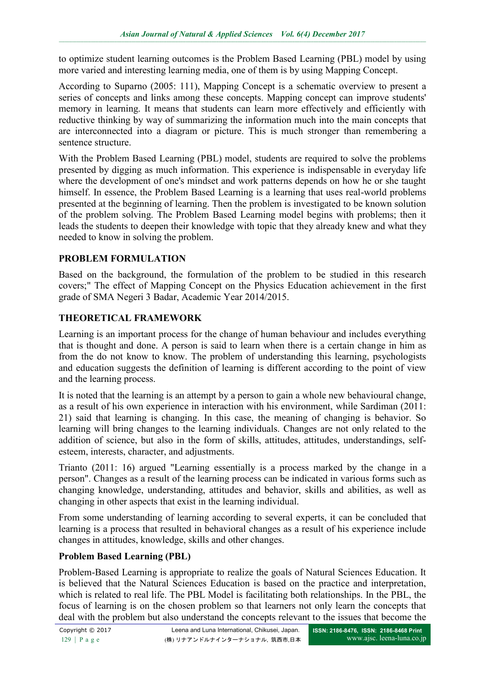to optimize student learning outcomes is the Problem Based Learning (PBL) model by using more varied and interesting learning media, one of them is by using Mapping Concept.

According to Suparno (2005: 111), Mapping Concept is a schematic overview to present a series of concepts and links among these concepts. Mapping concept can improve students' memory in learning. It means that students can learn more effectively and efficiently with reductive thinking by way of summarizing the information much into the main concepts that are interconnected into a diagram or picture. This is much stronger than remembering a sentence structure.

With the Problem Based Learning (PBL) model, students are required to solve the problems presented by digging as much information. This experience is indispensable in everyday life where the development of one's mindset and work patterns depends on how he or she taught himself. In essence, the Problem Based Learning is a learning that uses real-world problems presented at the beginning of learning. Then the problem is investigated to be known solution of the problem solving. The Problem Based Learning model begins with problems; then it leads the students to deepen their knowledge with topic that they already knew and what they needed to know in solving the problem.

# **PROBLEM FORMULATION**

Based on the background, the formulation of the problem to be studied in this research covers;" The effect of Mapping Concept on the Physics Education achievement in the first grade of SMA Negeri 3 Badar, Academic Year 2014/2015.

# **THEORETICAL FRAMEWORK**

Learning is an important process for the change of human behaviour and includes everything that is thought and done. A person is said to learn when there is a certain change in him as from the do not know to know. The problem of understanding this learning, psychologists and education suggests the definition of learning is different according to the point of view and the learning process.

It is noted that the learning is an attempt by a person to gain a whole new behavioural change, as a result of his own experience in interaction with his environment, while Sardiman (2011: 21) said that learning is changing. In this case, the meaning of changing is behavior. So learning will bring changes to the learning individuals. Changes are not only related to the addition of science, but also in the form of skills, attitudes, attitudes, understandings, selfesteem, interests, character, and adjustments.

Trianto (2011: 16) argued "Learning essentially is a process marked by the change in a person". Changes as a result of the learning process can be indicated in various forms such as changing knowledge, understanding, attitudes and behavior, skills and abilities, as well as changing in other aspects that exist in the learning individual.

From some understanding of learning according to several experts, it can be concluded that learning is a process that resulted in behavioral changes as a result of his experience include changes in attitudes, knowledge, skills and other changes.

# **Problem Based Learning (PBL)**

Problem-Based Learning is appropriate to realize the goals of Natural Sciences Education. It is believed that the Natural Sciences Education is based on the practice and interpretation, which is related to real life. The PBL Model is facilitating both relationships. In the PBL, the focus of learning is on the chosen problem so that learners not only learn the concepts that deal with the problem but also understand the concepts relevant to the issues that become the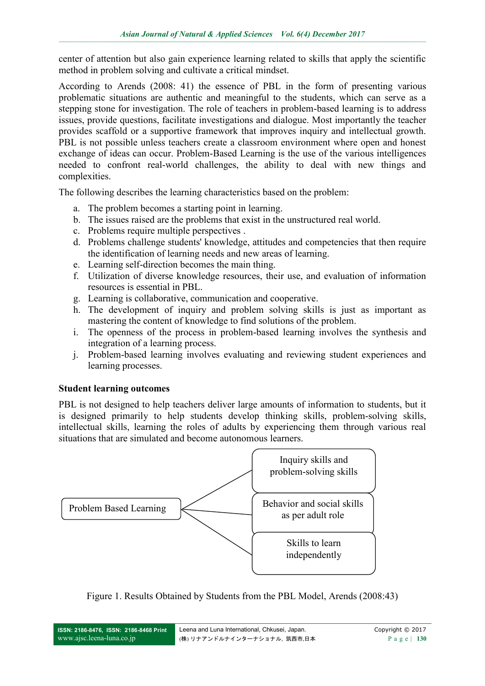center of attention but also gain experience learning related to skills that apply the scientific method in problem solving and cultivate a critical mindset.

According to Arends (2008: 41) the essence of PBL in the form of presenting various problematic situations are authentic and meaningful to the students, which can serve as a stepping stone for investigation. The role of teachers in problem-based learning is to address issues, provide questions, facilitate investigations and dialogue. Most importantly the teacher provides scaffold or a supportive framework that improves inquiry and intellectual growth. PBL is not possible unless teachers create a classroom environment where open and honest exchange of ideas can occur. Problem-Based Learning is the use of the various intelligences needed to confront real-world challenges, the ability to deal with new things and complexities.

The following describes the learning characteristics based on the problem:

- a. The problem becomes a starting point in learning.
- b. The issues raised are the problems that exist in the unstructured real world.
- c. Problems require multiple perspectives .
- d. Problems challenge students' knowledge, attitudes and competencies that then require the identification of learning needs and new areas of learning.
- e. Learning self-direction becomes the main thing.
- f. Utilization of diverse knowledge resources, their use, and evaluation of information resources is essential in PBL.
- g. Learning is collaborative, communication and cooperative.
- h. The development of inquiry and problem solving skills is just as important as mastering the content of knowledge to find solutions of the problem.
- i. The openness of the process in problem-based learning involves the synthesis and integration of a learning process.
- j. Problem-based learning involves evaluating and reviewing student experiences and learning processes.

# **Student learning outcomes**

PBL is not designed to help teachers deliver large amounts of information to students, but it is designed primarily to help students develop thinking skills, problem-solving skills, intellectual skills, learning the roles of adults by experiencing them through various real situations that are simulated and become autonomous learners.



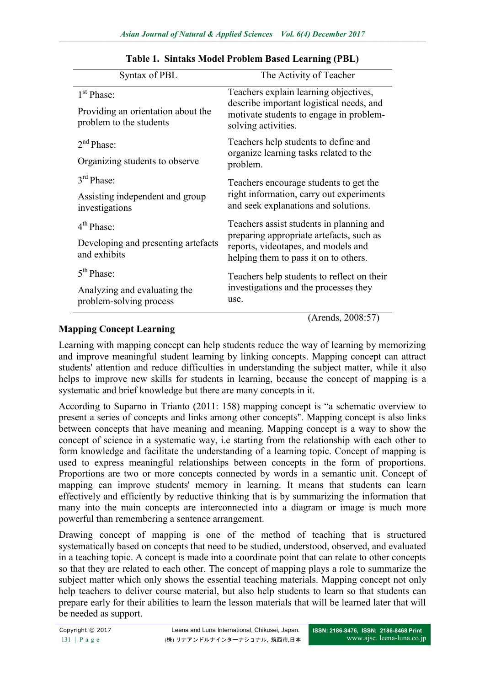| Syntax of PBL                                                 | The Activity of Teacher                                                                                                  |  |  |  |
|---------------------------------------------------------------|--------------------------------------------------------------------------------------------------------------------------|--|--|--|
| 1 <sup>st</sup> Phase:                                        | Teachers explain learning objectives,                                                                                    |  |  |  |
| Providing an orientation about the<br>problem to the students | describe important logistical needs, and<br>motivate students to engage in problem-<br>solving activities.               |  |  |  |
| 2 <sup>nd</sup> Phase:                                        | Teachers help students to define and<br>organize learning tasks related to the                                           |  |  |  |
| Organizing students to observe                                | problem.                                                                                                                 |  |  |  |
| $3^{\text{rd}}$ Phase                                         | Teachers encourage students to get the                                                                                   |  |  |  |
| Assisting independent and group<br>investigations             | right information, carry out experiments<br>and seek explanations and solutions.                                         |  |  |  |
| $4^{th}$ Phase:                                               | Teachers assist students in planning and                                                                                 |  |  |  |
| Developing and presenting artefacts<br>and exhibits           | preparing appropriate artefacts, such as<br>reports, videotapes, and models and<br>helping them to pass it on to others. |  |  |  |
| 5 <sup>th</sup> Phase                                         | Teachers help students to reflect on their                                                                               |  |  |  |
| Analyzing and evaluating the<br>problem-solving process       | investigations and the processes they<br>use.                                                                            |  |  |  |

|  |  |  |  |  | Table 1. Sintaks Model Problem Based Learning (PBL) |  |
|--|--|--|--|--|-----------------------------------------------------|--|
|--|--|--|--|--|-----------------------------------------------------|--|

# **Mapping Concept Learning**

(Arends, 2008:57)

Learning with mapping concept can help students reduce the way of learning by memorizing and improve meaningful student learning by linking concepts. Mapping concept can attract students' attention and reduce difficulties in understanding the subject matter, while it also helps to improve new skills for students in learning, because the concept of mapping is a systematic and brief knowledge but there are many concepts in it.

According to Suparno in Trianto (2011: 158) mapping concept is "a schematic overview to present a series of concepts and links among other concepts". Mapping concept is also links between concepts that have meaning and meaning. Mapping concept is a way to show the concept of science in a systematic way, i.e starting from the relationship with each other to form knowledge and facilitate the understanding of a learning topic. Concept of mapping is used to express meaningful relationships between concepts in the form of proportions. Proportions are two or more concepts connected by words in a semantic unit. Concept of mapping can improve students' memory in learning. It means that students can learn effectively and efficiently by reductive thinking that is by summarizing the information that many into the main concepts are interconnected into a diagram or image is much more powerful than remembering a sentence arrangement.

Drawing concept of mapping is one of the method of teaching that is structured systematically based on concepts that need to be studied, understood, observed, and evaluated in a teaching topic. A concept is made into a coordinate point that can relate to other concepts so that they are related to each other. The concept of mapping plays a role to summarize the subject matter which only shows the essential teaching materials. Mapping concept not only help teachers to deliver course material, but also help students to learn so that students can prepare early for their abilities to learn the lesson materials that will be learned later that will be needed as support.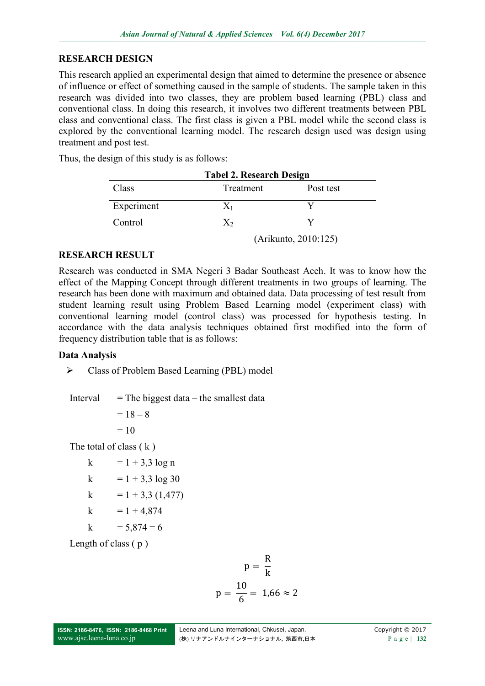# **RESEARCH DESIGN**

This research applied an experimental design that aimed to determine the presence or absence of influence or effect of something caused in the sample of students. The sample taken in this research was divided into two classes, they are problem based learning (PBL) class and conventional class. In doing this research, it involves two different treatments between PBL class and conventional class. The first class is given a PBL model while the second class is explored by the conventional learning model. The research design used was design using treatment and post test.

Thus, the design of this study is as follows:

| <b>Tabel 2. Research Design</b> |           |                             |  |  |
|---------------------------------|-----------|-----------------------------|--|--|
| Class                           | Treatment | Post test                   |  |  |
| Experiment                      |           |                             |  |  |
| Control                         | X,        |                             |  |  |
|                                 |           | $(A_1, A_2, A_3, A_4, A_5)$ |  |  |

(Arikunto, 2010:125)

## **RESEARCH RESULT**

Research was conducted in SMA Negeri 3 Badar Southeast Aceh. It was to know how the effect of the Mapping Concept through different treatments in two groups of learning. The research has been done with maximum and obtained data. Data processing of test result from student learning result using Problem Based Learning model (experiment class) with conventional learning model (control class) was processed for hypothesis testing. In accordance with the data analysis techniques obtained first modified into the form of frequency distribution table that is as follows:

# **Data Analysis**

 $\triangleright$  Class of Problem Based Learning (PBL) model

Interval  $=$  The biggest data – the smallest data

 $= 18 - 8$ 

 $= 10$ 

The total of class  $(k)$ 

- $k = 1 + 3.3 \log n$
- k =  $1 + 3.3 \log 30$
- $k = 1 + 3.3$  (1,477)
- $k = 1 + 4,874$

$$
k = 5,874 = 6
$$

Length of class ( p )

$$
p = \frac{R}{k}
$$

$$
p = \frac{10}{6} = 1,66 \approx 2
$$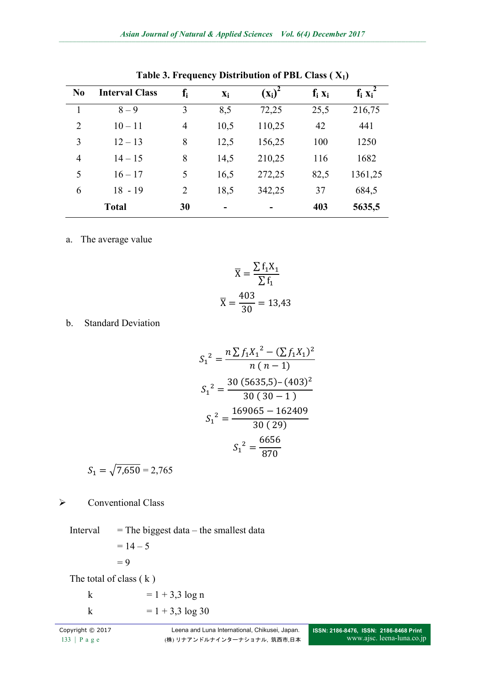| N <sub>0</sub> | <b>Interval Class</b> | $f_i$          | $\mathbf{X}_i$ | $(x_i)^2$                | $f_i x_i$ | $f_i x_i^2$ |
|----------------|-----------------------|----------------|----------------|--------------------------|-----------|-------------|
|                | $8 - 9$               | 3              | 8,5            | 72,25                    | 25,5      | 216,75      |
| $\overline{2}$ | $10 - 11$             | $\overline{4}$ | 10,5           | 110,25                   | 42        | 441         |
| 3              | $12 - 13$             | 8              | 12,5           | 156,25                   | 100       | 1250        |
| $\overline{4}$ | $14 - 15$             | 8              | 14,5           | 210,25                   | 116       | 1682        |
| 5              | $16 - 17$             | 5              | 16,5           | 272,25                   | 82,5      | 1361,25     |
| 6              | $18 - 19$             | $\overline{2}$ | 18,5           | 342,25                   | 37        | 684,5       |
|                | <b>Total</b>          | 30             | -              | $\overline{\phantom{a}}$ | 403       | 5635,5      |

**Table 3. Frequency Distribution of PBL Class ( X1)**

## a. The average value

$$
\overline{X} = \frac{\sum f_1 X_1}{\sum f_1}
$$

$$
\overline{X} = \frac{403}{30} = 13,43
$$

## b. Standard Deviation

$$
S_1^2 = \frac{n \sum f_1 X_1^2 - (\sum f_1 X_1)^2}{n (n-1)}
$$
  

$$
S_1^2 = \frac{30 (5635.5) - (403)^2}{30 (30 - 1)}
$$
  

$$
S_1^2 = \frac{169065 - 162409}{30 (29)}
$$
  

$$
S_1^2 = \frac{6656}{870}
$$

 $S_1 = \sqrt{7,650} = 2,765$ 

 $\triangleright$  Conventional Class

Interval  $=$  The biggest data – the smallest data  $= 14 - 5$  $= 9$ The total of class ( k ) k  $= 1 + 3.3 \log n$ k =  $1 + 3,3 \log 30$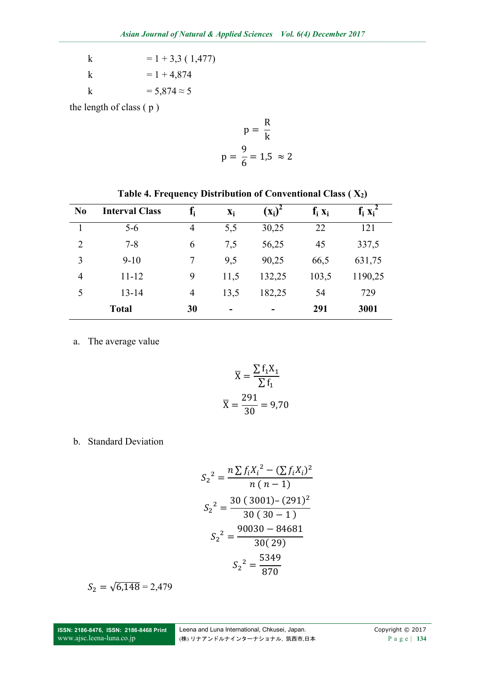| k | $= 1 + 3.3 (1.477)$ |
|---|---------------------|
| k | $= 1 + 4,874$       |
| k | $= 5,874 \approx 5$ |

the length of class ( p )

$$
p = \frac{R}{k}
$$
  

$$
p = \frac{9}{6} = 1.5 \approx 2
$$

| N <sub>0</sub> | <b>Interval Class</b> | $f_i$          | $\mathbf{X}_i$ | $(\mathbf{x}_i)$ | $f_i x_i$ | $f_i x_i^2$ |
|----------------|-----------------------|----------------|----------------|------------------|-----------|-------------|
|                | $5-6$                 | $\overline{4}$ | 5,5            | 30,25            | 22        | 121         |
| $\overline{2}$ | $7 - 8$               | 6              | 7,5            | 56,25            | 45        | 337,5       |
| 3              | $9 - 10$              | 7              | 9,5            | 90,25            | 66,5      | 631,75      |
| $\overline{4}$ | $11 - 12$             | 9              | 11,5           | 132,25           | 103,5     | 1190,25     |
| 5              | $13 - 14$             | $\overline{4}$ | 13,5           | 182,25           | 54        | 729         |
|                | <b>Total</b>          | 30             |                |                  | 291       | 3001        |

**Table 4. Frequency Distribution of Conventional Class ( X2)**

a. The average value

$$
\overline{X} = \frac{\sum f_1 X_1}{\sum f_1}
$$

$$
\overline{X} = \frac{291}{30} = 9,70
$$

b. Standard Deviation

$$
S_2^2 = \frac{n \sum f_i X_i^2 - (\sum f_i X_i)^2}{n (n-1)}
$$
  
\n
$$
S_2^2 = \frac{30 (3001) - (291)^2}{30 (30 - 1)}
$$
  
\n
$$
S_2^2 = \frac{90030 - 84681}{30 (29)}
$$
  
\n
$$
S_2^2 = \frac{5349}{870}
$$

$$
S_2 = \sqrt{6,148} = 2,479
$$

[www.ajsc.leena-luna.co.jp](http://www.ajssh.leena-luna.co.jp/)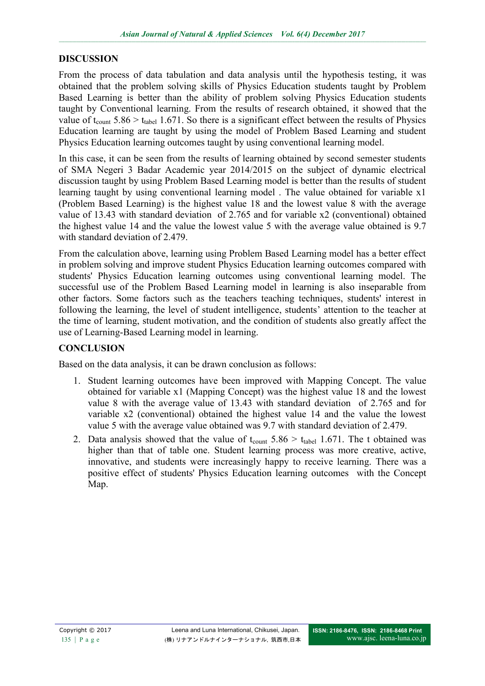# **DISCUSSION**

From the process of data tabulation and data analysis until the hypothesis testing, it was obtained that the problem solving skills of Physics Education students taught by Problem Based Learning is better than the ability of problem solving Physics Education students taught by Conventional learning. From the results of research obtained, it showed that the value of  $t_{\text{count}}$  5.86 >  $t_{\text{label}}$  1.671. So there is a significant effect between the results of Physics Education learning are taught by using the model of Problem Based Learning and student Physics Education learning outcomes taught by using conventional learning model.

In this case, it can be seen from the results of learning obtained by second semester students of SMA Negeri 3 Badar Academic year 2014/2015 on the subject of dynamic electrical discussion taught by using Problem Based Learning model is better than the results of student learning taught by using conventional learning model . The value obtained for variable x1 (Problem Based Learning) is the highest value 18 and the lowest value 8 with the average value of 13.43 with standard deviation of 2.765 and for variable x2 (conventional) obtained the highest value 14 and the value the lowest value 5 with the average value obtained is 9.7 with standard deviation of 2.479.

From the calculation above, learning using Problem Based Learning model has a better effect in problem solving and improve student Physics Education learning outcomes compared with students' Physics Education learning outcomes using conventional learning model. The successful use of the Problem Based Learning model in learning is also inseparable from other factors. Some factors such as the teachers teaching techniques, students' interest in following the learning, the level of student intelligence, students' attention to the teacher at the time of learning, student motivation, and the condition of students also greatly affect the use of Learning-Based Learning model in learning.

# **CONCLUSION**

Based on the data analysis, it can be drawn conclusion as follows:

- 1. Student learning outcomes have been improved with Mapping Concept. The value obtained for variable x1 (Mapping Concept) was the highest value 18 and the lowest value 8 with the average value of 13.43 with standard deviation of 2.765 and for variable x2 (conventional) obtained the highest value 14 and the value the lowest value 5 with the average value obtained was 9.7 with standard deviation of 2.479.
- 2. Data analysis showed that the value of  $t_{\text{count}}$  5.86  $> t_{\text{label}}$  1.671. The t obtained was higher than that of table one. Student learning process was more creative, active, innovative, and students were increasingly happy to receive learning. There was a positive effect of students' Physics Education learning outcomes with the Concept Map.